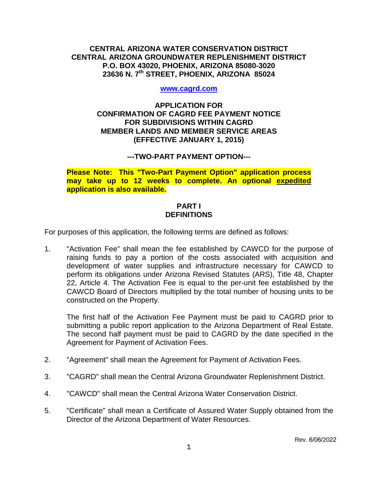### **CENTRAL ARIZONA WATER CONSERVATION DISTRICT CENTRAL ARIZONA GROUNDWATER REPLENISHMENT DISTRICT P.O. BOX 43020, PHOENIX, ARIZONA 85080-3020 23636 N. 7th STREET, PHOENIX, ARIZONA 85024**

#### **[www.cagrd.com](http://www.cagrd.com/)**

### **APPLICATION FOR CONFIRMATION OF CAGRD FEE PAYMENT NOTICE FOR SUBDIVISIONS WITHIN CAGRD MEMBER LANDS AND MEMBER SERVICE AREAS (EFFECTIVE JANUARY 1, 2015)**

### **---TWO-PART PAYMENT OPTION---**

**Please Note: This "Two-Part Payment Option" application process may take up to 12 weeks to complete. An optional expedited application is also available.** 

### **PART I DEFINITIONS**

For purposes of this application, the following terms are defined as follows:

1. "Activation Fee" shall mean the fee established by CAWCD for the purpose of raising funds to pay a portion of the costs associated with acquisition and development of water supplies and infrastructure necessary for CAWCD to perform its obligations under Arizona Revised Statutes (ARS), Title 48, Chapter 22, Article 4. The Activation Fee is equal to the per-unit fee established by the CAWCD Board of Directors multiplied by the total number of housing units to be constructed on the Property.

The first half of the Activation Fee Payment must be paid to CAGRD prior to submitting a public report application to the Arizona Department of Real Estate. The second half payment must be paid to CAGRD by the date specified in the Agreement for Payment of Activation Fees.

- 2. "Agreement" shall mean the Agreement for Payment of Activation Fees.
- 3. "CAGRD" shall mean the Central Arizona Groundwater Replenishment District.
- 4. "CAWCD" shall mean the Central Arizona Water Conservation District.
- 5. "Certificate" shall mean a Certificate of Assured Water Supply obtained from the Director of the Arizona Department of Water Resources.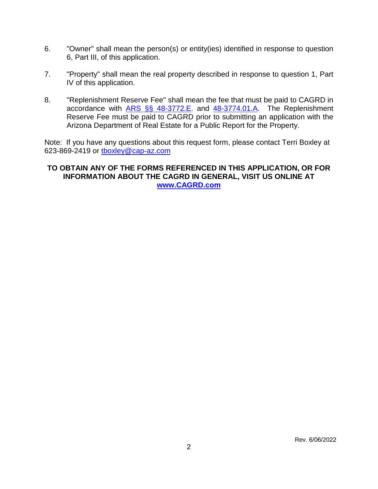- 6. "Owner" shall mean the person(s) or entity(ies) identified in response to question 6, Part III, of this application.
- 7. "Property" shall mean the real property described in response to question 1, Part IV of this application.
- 8. "Replenishment Reserve Fee" shall mean the fee that must be paid to CAGRD in accordance with [ARS §§ 48-3772.E.](https://www.azleg.gov/viewdocument/?docName=https://www.azleg.gov/ars/48/03772.htm) and [48-3774.01.A.](https://www.azleg.gov/viewdocument/?docName=https://www.azleg.gov/ars/48/03774-01.htm) The Replenishment Reserve Fee must be paid to CAGRD prior to submitting an application with the Arizona Department of Real Estate for a Public Report for the Property.

Note: If you have any questions about this request form, please contact Terri Boxley at 623-869-2419 or [tboxley@cap-az.com](mailto:tboxley@cap-az.com)

### **TO OBTAIN ANY OF THE FORMS REFERENCED IN THIS APPLICATION, OR FOR INFORMATION ABOUT THE CAGRD IN GENERAL, VISIT US ONLINE AT [www.CAGRD.com](http://www.cagrd.com/)**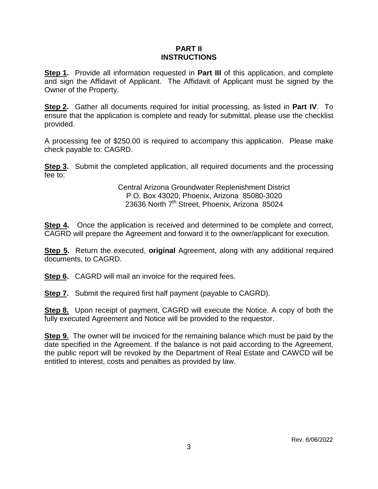### **PART II INSTRUCTIONS**

**Step 1.** Provide all information requested in **Part III** of this application, and complete and sign the Affidavit of Applicant. The Affidavit of Applicant must be signed by the Owner of the Property.

**Step 2.** Gather all documents required for initial processing, as listed in **Part IV**. To ensure that the application is complete and ready for submittal, please use the checklist provided.

A processing fee of \$250.00 is required to accompany this application. Please make check payable to: CAGRD.

**Step 3.** Submit the completed application, all required documents and the processing fee to:

> Central Arizona Groundwater Replenishment District P.O. Box 43020, Phoenix, Arizona 85080-3020 23636 North  $7<sup>th</sup>$  Street, Phoenix, Arizona 85024

**Step 4.** Once the application is received and determined to be complete and correct, CAGRD will prepare the Agreement and forward it to the owner/applicant for execution.

**Step 5.** Return the executed, **original** Agreement, along with any additional required documents, to CAGRD.

**Step 6.** CAGRD will mail an invoice for the required fees.

**Step 7.** Submit the required first half payment (payable to CAGRD).

**Step 8.** Upon receipt of payment, CAGRD will execute the Notice. A copy of both the fully executed Agreement and Notice will be provided to the requestor.

**Step 9.** The owner will be invoiced for the remaining balance which must be paid by the date specified in the Agreement. If the balance is not paid according to the Agreement, the public report will be revoked by the Department of Real Estate and CAWCD will be entitled to interest, costs and penalties as provided by law.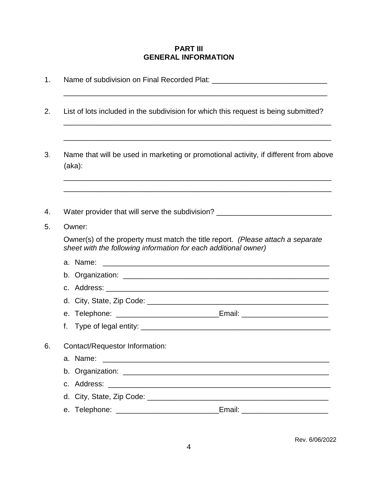### **PART III GENERAL INFORMATION**

| List of lots included in the subdivision for which this request is being submitted?                                                                |  |  |  |
|----------------------------------------------------------------------------------------------------------------------------------------------------|--|--|--|
| Name that will be used in marketing or promotional activity, if different from above<br>(aka):                                                     |  |  |  |
| <u> 1989 - Johann Stoff, amerikansk politiker (d. 1989)</u><br>Water provider that will serve the subdivision? ________________________________    |  |  |  |
| Owner:                                                                                                                                             |  |  |  |
| Owner(s) of the property must match the title report. (Please attach a separate<br>sheet with the following information for each additional owner) |  |  |  |
| a. Name:                                                                                                                                           |  |  |  |
|                                                                                                                                                    |  |  |  |
|                                                                                                                                                    |  |  |  |
|                                                                                                                                                    |  |  |  |
| e. Telephone: __________________________________Email: _________________________                                                                   |  |  |  |
| f.                                                                                                                                                 |  |  |  |
| Contact/Requestor Information:                                                                                                                     |  |  |  |
| a. Name:<br><u> 1980 - Jan Barat, prima de la contrada de la contrada de la contrada de la contrada de la contrada de la con</u>                   |  |  |  |
|                                                                                                                                                    |  |  |  |
|                                                                                                                                                    |  |  |  |
|                                                                                                                                                    |  |  |  |
| Email: _________________________                                                                                                                   |  |  |  |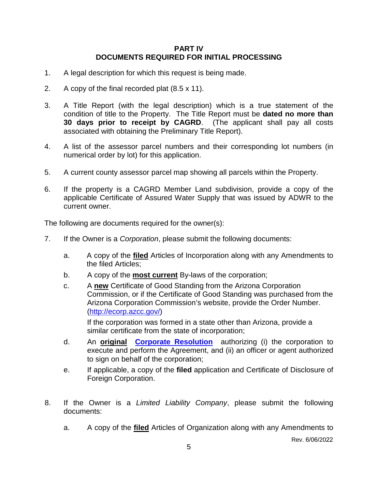### **PART IV DOCUMENTS REQUIRED FOR INITIAL PROCESSING**

- 1. A legal description for which this request is being made.
- 2. A copy of the final recorded plat (8.5 x 11).
- 3. A Title Report (with the legal description) which is a true statement of the condition of title to the Property. The Title Report must be **dated no more than 30 days prior to receipt by CAGRD**. (The applicant shall pay all costs associated with obtaining the Preliminary Title Report).
- 4. A list of the assessor parcel numbers and their corresponding lot numbers (in numerical order by lot) for this application.
- 5. A current county assessor parcel map showing all parcels within the Property.
- 6. If the property is a CAGRD Member Land subdivision, provide a copy of the applicable Certificate of Assured Water Supply that was issued by ADWR to the current owner.

The following are documents required for the owner(s):

- 7. If the Owner is a *Corporation*, please submit the following documents:
	- a. A copy of the **filed** Articles of Incorporation along with any Amendments to the filed Articles;
	- b. A copy of the **most current** By-laws of the corporation;
	- c. A **new** Certificate of Good Standing from the Arizona Corporation Commission, or if the Certificate of Good Standing was purchased from the Arizona Corporation Commission's website, provide the Order Number. [\(http://ecorp.azcc.gov/\)](http://ecorp.azcc.gov/)

If the corporation was formed in a state other than Arizona, provide a similar certificate from the state of incorporation;

- d. An **original [Corporate Resolution](http://www.cagrd.com/documents/enrollment/corporateresolution_fillable_online_doc_2.pdf)** authorizing (i) the corporation to execute and perform the Agreement, and (ii) an officer or agent authorized to sign on behalf of the corporation;
- e. If applicable, a copy of the **filed** application and Certificate of Disclosure of Foreign Corporation.
- 8. If the Owner is a *Limited Liability Company*, please submit the following documents:
	- a. A copy of the **filed** Articles of Organization along with any Amendments to

Rev. 6/06/2022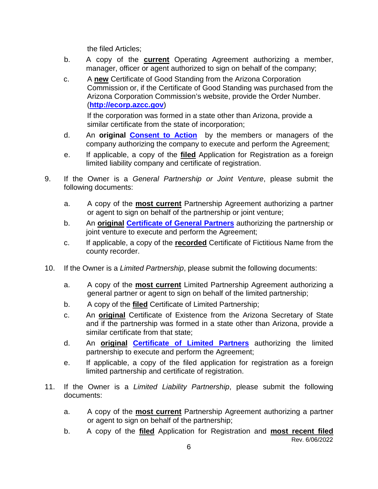the filed Articles;

- b. A copy of the **current** Operating Agreement authorizing a member, manager, officer or agent authorized to sign on behalf of the company;
- c. A **new** Certificate of Good Standing from the Arizona Corporation Commission or, if the Certificate of Good Standing was purchased from the Arizona Corporation Commission's website, provide the Order Number. (**[http://ecorp.azcc.gov](http://ecorp.azcc.gov/)**)

If the corporation was formed in a state other than Arizona, provide a similar certificate from the state of incorporation;

- d. An **original [Consent to Action](http://www.cagrd.com/documents/enrollment/Certified_Consent_Fillable_online.pdf)** by the members or managers of the company authorizing the company to execute and perform the Agreement;
- e. If applicable, a copy of the **filed** Application for Registration as a foreign limited liability company and certificate of registration.
- 9. If the Owner is a *General Partnership or Joint Venture*, please submit the following documents:
	- a. A copy of the **most current** Partnership Agreement authorizing a partner or agent to sign on behalf of the partnership or joint venture;
	- b. An **original [Certificate of General Partners](http://www.cagrd.com/documents/enrollment/certofgeneralpartners.pdf)** authorizing the partnership or joint venture to execute and perform the Agreement;
	- c. If applicable, a copy of the **recorded** Certificate of Fictitious Name from the county recorder.
- 10. If the Owner is a *Limited Partnership*, please submit the following documents:
	- a. A copy of the **most current** Limited Partnership Agreement authorizing a general partner or agent to sign on behalf of the limited partnership;
	- b. A copy of the **filed** Certificate of Limited Partnership;
	- c. An **original** Certificate of Existence from the Arizona Secretary of State and if the partnership was formed in a state other than Arizona, provide a similar certificate from that state;
	- d. An **original [Certificate of Limited Partners](http://www.cagrd.com/documents/enrollment/certlimitedpartnership.pdf)** authorizing the limited partnership to execute and perform the Agreement;
	- e. If applicable, a copy of the filed application for registration as a foreign limited partnership and certificate of registration.
- 11. If the Owner is a *Limited Liability Partnership*, please submit the following documents:
	- a. A copy of the **most current** Partnership Agreement authorizing a partner or agent to sign on behalf of the partnership;
	- Rev. 6/06/2022 b. A copy of the **filed** Application for Registration and **most recent filed**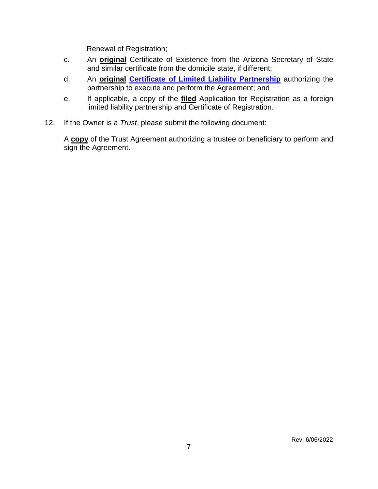Renewal of Registration;

- c. An **original** Certificate of Existence from the Arizona Secretary of State and similar certificate from the domicile state, if different;
- d. An **original [Certificate of Limited Liability Partnership](http://www.cagrd.com/documents/enrollment/certlimitedliabilitypart.pdf)** authorizing the partnership to execute and perform the Agreement; and
- e. If applicable, a copy of the **filed** Application for Registration as a foreign limited liability partnership and Certificate of Registration.
- 12. If the Owner is a *Trust*, please submit the following document:

A **copy** of the Trust Agreement authorizing a trustee or beneficiary to perform and sign the Agreement.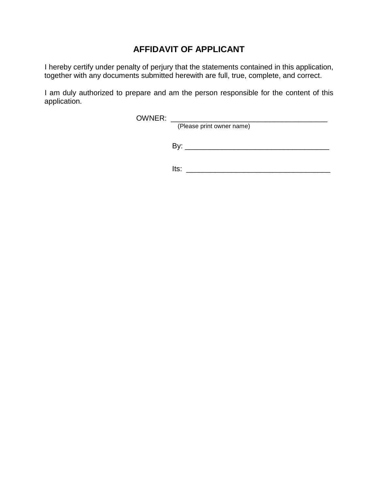# **AFFIDAVIT OF APPLICANT**

I hereby certify under penalty of perjury that the statements contained in this application, together with any documents submitted herewith are full, true, complete, and correct.

I am duly authorized to prepare and am the person responsible for the content of this application.

OWNER: \_\_\_\_\_\_\_\_\_\_\_\_\_\_\_\_\_\_\_\_\_\_\_\_\_\_\_\_\_\_\_\_\_\_\_\_\_\_

(Please print owner name)

By: \_\_\_\_\_\_\_\_\_\_\_\_\_\_\_\_\_\_\_\_\_\_\_\_\_\_\_\_\_\_\_\_\_\_\_

Its: \_\_\_\_\_\_\_\_\_\_\_\_\_\_\_\_\_\_\_\_\_\_\_\_\_\_\_\_\_\_\_\_\_\_\_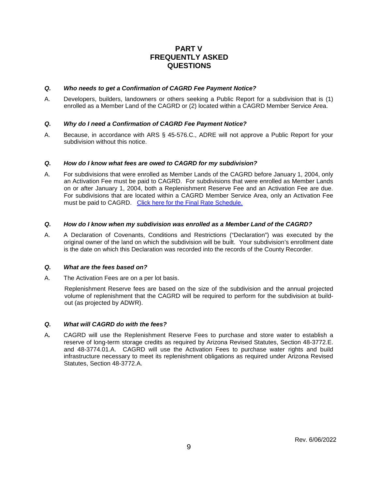### **PART V FREQUENTLY ASKED QUESTIONS**

#### *Q. Who needs to get a Confirmation of CAGRD Fee Payment Notice?*

A. Developers, builders, landowners or others seeking a Public Report for a subdivision that is (1) enrolled as a Member Land of the CAGRD or (2) located within a CAGRD Member Service Area.

#### *Q. Why do I need a Confirmation of CAGRD Fee Payment Notice?*

A. Because, in accordance with ARS § 45-576.C., ADRE will not approve a Public Report for your subdivision without this notice.

#### *Q. How do I know what fees are owed to CAGRD for my subdivision?*

A. For subdivisions that were enrolled as Member Lands of the CAGRD before January 1, 2004, only an Activation Fee must be paid to CAGRD. For subdivisions that were enrolled as Member Lands on or after January 1, 2004, both a Replenishment Reserve Fee and an Activation Fee are due. For subdivisions that are located within a CAGRD Member Service Area, only an Activation Fee must be paid to CAGRD. [Click here for the Final Rate Schedule.](https://library.cap-az.com/documents/departments/finance/CAGRD-Final-2022-23-thru-2027-28-Water-Rate-Schedule.pdf)

#### *Q. How do I know when my subdivision was enrolled as a Member Land of the CAGRD?*

A. A Declaration of Covenants, Conditions and Restrictions ("Declaration") was executed by the original owner of the land on which the subdivision will be built. Your subdivision's enrollment date is the date on which this Declaration was recorded into the records of the County Recorder.

#### *Q. What are the fees based on?*

A. The Activation Fees are on a per lot basis.

Replenishment Reserve fees are based on the size of the subdivision and the annual projected volume of replenishment that the CAGRD will be required to perform for the subdivision at buildout (as projected by ADWR).

#### *Q. What will CAGRD do with the fees?*

A*.* CAGRD will use the Replenishment Reserve Fees to purchase and store water to establish a reserve of long-term storage credits as required by Arizona Revised Statutes, Section 48-3772.E. and 48-3774.01.A. CAGRD will use the Activation Fees to purchase water rights and build infrastructure necessary to meet its replenishment obligations as required under Arizona Revised Statutes, Section 48-3772.A.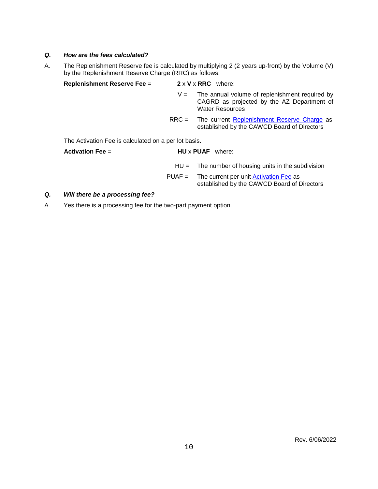#### *Q. How are the fees calculated?*

A*.* The Replenishment Reserve fee is calculated by multiplying 2 (2 years up-front) by the Volume (V) by the Replenishment Reserve Charge (RRC) as follows:

| <b>Replenishment Reserve Fee =</b>                   |          | $2 \times V \times RRC$ where:                                                                                         |  |  |  |  |
|------------------------------------------------------|----------|------------------------------------------------------------------------------------------------------------------------|--|--|--|--|
|                                                      | $V =$    | The annual volume of replenishment required by<br>CAGRD as projected by the AZ Department of<br><b>Water Resources</b> |  |  |  |  |
|                                                      |          | $RRC =$ The current Replenishment Reserve Charge as<br>established by the CAWCD Board of Directors                     |  |  |  |  |
| The Activation Fee is calculated on a per lot basis. |          |                                                                                                                        |  |  |  |  |
| Activation Fee $=$<br><b>HU</b> x <b>PUAF</b> where: |          |                                                                                                                        |  |  |  |  |
|                                                      |          | $HU =$ The number of housing units in the subdivision                                                                  |  |  |  |  |
|                                                      | $PUAF =$ | The current per-unit Activation Fee as<br>established by the CAWCD Board of Directors                                  |  |  |  |  |

#### *Q. Will there be a processing fee?*

A. Yes there is a processing fee for the two-part payment option.